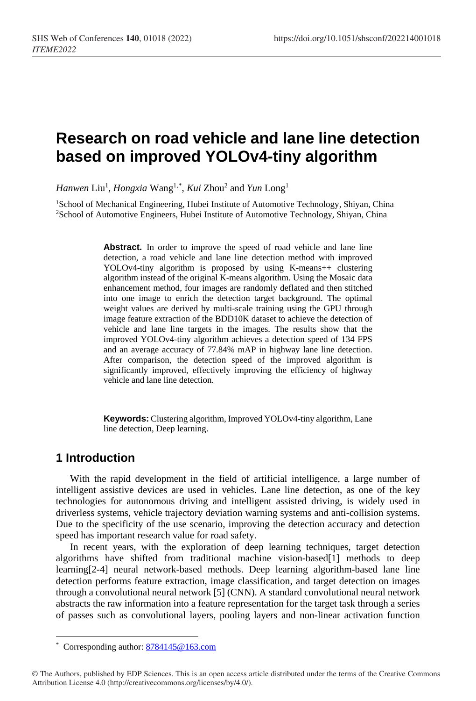# **Research on road vehicle and lane line detection based on improved YOLOv4-tiny algorithm**

*Hanwen* Liu1 , *Hongxia* Wang1,[\\*](#page-0-0) , *Kui* Zhou2 and *Yun* Long1

<sup>1</sup>School of Mechanical Engineering, Hubei Institute of Automotive Technology, Shiyan, China 2School of Automotive Engineers, Hubei Institute of Automotive Technology, Shiyan, China

> Abstract. In order to improve the speed of road vehicle and lane line detection, a road vehicle and lane line detection method with improved YOLOv4-tiny algorithm is proposed by using K-means++ clustering algorithm instead of the original K-means algorithm. Using the Mosaic data enhancement method, four images are randomly deflated and then stitched into one image to enrich the detection target background. The optimal weight values are derived by multi-scale training using the GPU through image feature extraction of the BDD10K dataset to achieve the detection of vehicle and lane line targets in the images. The results show that the improved YOLOv4-tiny algorithm achieves a detection speed of 134 FPS and an average accuracy of 77.84% mAP in highway lane line detection. After comparison, the detection speed of the improved algorithm is significantly improved, effectively improving the efficiency of highway vehicle and lane line detection.

> **Keywords:** Clustering algorithm, Improved YOLOv4-tiny algorithm, Lane line detection, Deep learning.

# **1 Introduction**

 $\ddot{\phantom{a}}$ 

With the rapid development in the field of artificial intelligence, a large number of intelligent assistive devices are used in vehicles. Lane line detection, as one of the key technologies for autonomous driving and intelligent assisted driving, is widely used in driverless systems, vehicle trajectory deviation warning systems and anti-collision systems. Due to the specificity of the use scenario, improving the detection accuracy and detection speed has important research value for road safety.

In recent years, with the exploration of deep learning techniques, target detection algorithms have shifted from traditional machine vision-based[1] methods to deep learning[2-4] neural network-based methods. Deep learning algorithm-based lane line detection performs feature extraction, image classification, and target detection on images through a convolutional neural network [5] (CNN). A standard convolutional neural network abstracts the raw information into a feature representation for the target task through a series of passes such as convolutional layers, pooling layers and non-linear activation function

<sup>\*</sup> Corresponding author: [8784145@163.com](mailto:8784145@163.com)

<span id="page-0-0"></span><sup>©</sup> The Authors, published by EDP Sciences. This is an open access article distributed under the terms of the Creative Commons Attribution License 4.0 (http://creativecommons.org/licenses/by/4.0/).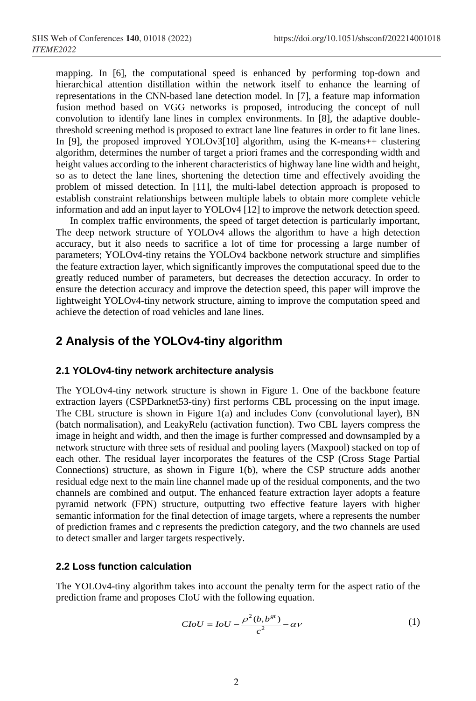mapping. In [6], the computational speed is enhanced by performing top-down and hierarchical attention distillation within the network itself to enhance the learning of representations in the CNN-based lane detection model. In [7], a feature map information fusion method based on VGG networks is proposed, introducing the concept of null convolution to identify lane lines in complex environments. In [8], the adaptive doublethreshold screening method is proposed to extract lane line features in order to fit lane lines. In [9], the proposed improved YOLOv3[10] algorithm, using the K-means++ clustering algorithm, determines the number of target a priori frames and the corresponding width and height values according to the inherent characteristics of highway lane line width and height, so as to detect the lane lines, shortening the detection time and effectively avoiding the problem of missed detection. In [11], the multi-label detection approach is proposed to establish constraint relationships between multiple labels to obtain more complete vehicle information and add an input layer to YOLOv4 [12] to improve the network detection speed.

In complex traffic environments, the speed of target detection is particularly important, The deep network structure of YOLOv4 allows the algorithm to have a high detection accuracy, but it also needs to sacrifice a lot of time for processing a large number of parameters; YOLOv4-tiny retains the YOLOv4 backbone network structure and simplifies the feature extraction layer, which significantly improves the computational speed due to the greatly reduced number of parameters, but decreases the detection accuracy. In order to ensure the detection accuracy and improve the detection speed, this paper will improve the lightweight YOLOv4-tiny network structure, aiming to improve the computation speed and achieve the detection of road vehicles and lane lines.

## **2 Analysis of the YOLOv4-tiny algorithm**

#### **2.1 YOLOv4-tiny network architecture analysis**

The YOLOv4-tiny network structure is shown in Figure 1. One of the backbone feature extraction layers (CSPDarknet53-tiny) first performs CBL processing on the input image. The CBL structure is shown in Figure 1(a) and includes Conv (convolutional layer), BN (batch normalisation), and LeakyRelu (activation function). Two CBL layers compress the image in height and width, and then the image is further compressed and downsampled by a network structure with three sets of residual and pooling layers (Maxpool) stacked on top of each other. The residual layer incorporates the features of the CSP (Cross Stage Partial Connections) structure, as shown in Figure 1(b), where the CSP structure adds another residual edge next to the main line channel made up of the residual components, and the two channels are combined and output. The enhanced feature extraction layer adopts a feature pyramid network (FPN) structure, outputting two effective feature layers with higher semantic information for the final detection of image targets, where a represents the number of prediction frames and c represents the prediction category, and the two channels are used to detect smaller and larger targets respectively.

#### **2.2 Loss function calculation**

The YOLOv4-tiny algorithm takes into account the penalty term for the aspect ratio of the prediction frame and proposes CIoU with the following equation.

$$
CIoU = IoU - \frac{\rho^2(b, b^{gt})}{c^2} - \alpha v \tag{1}
$$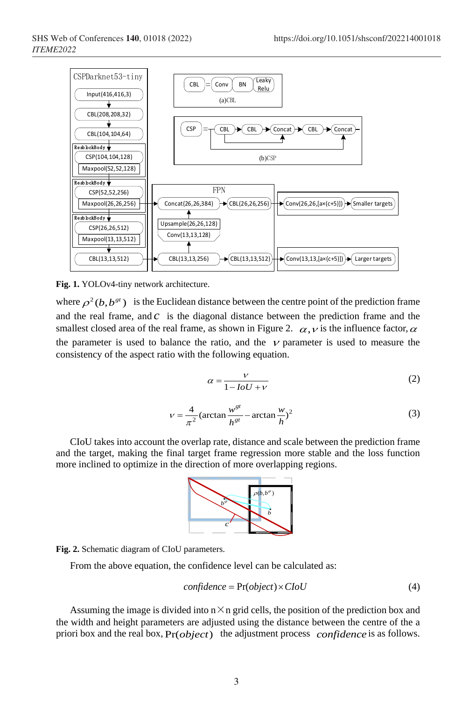

**Fig. 1.** YOLOv4-tiny network architecture.

where  $\rho^2(b, b^{gt})$  is the Euclidean distance between the centre point of the prediction frame and the real frame, and *c* is the diagonal distance between the prediction frame and the smallest closed area of the real frame, as shown in Figure 2.  $\alpha, \gamma$  is the influence factor,  $\alpha$ the parameter is used to balance the ratio, and the  $\nu$  parameter is used to measure the consistency of the aspect ratio with the following equation.

$$
\alpha = \frac{v}{1 - IoU + v} \tag{2}
$$

$$
v = \frac{4}{\pi^2} \left( \arctan \frac{w^{st}}{h^{st}} - \arctan \frac{w}{h} \right)^2
$$
 (3)

CIoU takes into account the overlap rate, distance and scale between the prediction frame and the target, making the final target frame regression more stable and the loss function more inclined to optimize in the direction of more overlapping regions.





From the above equation, the confidence level can be calculated as:

$$
confidence = \Pr(object) \times CloU \tag{4}
$$

Assuming the image is divided into  $n \times n$  grid cells, the position of the prediction box and the width and height parameters are adjusted using the distance between the centre of the a priori box and the real box,  $Pr(object)$  the adjustment process *confidence* is as follows.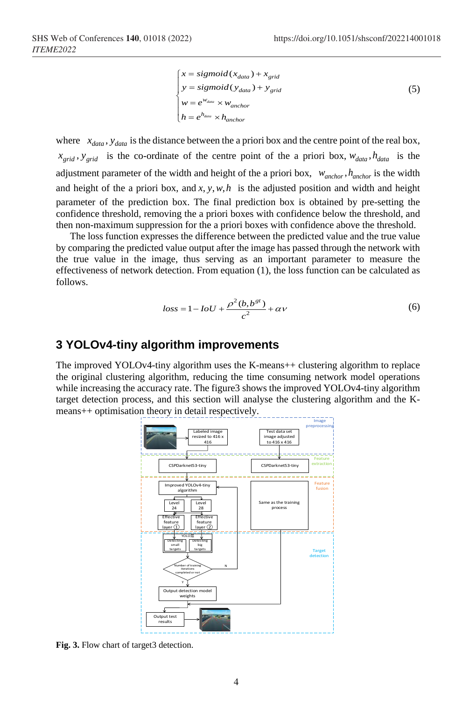$$
\begin{cases}\nx = sigmoid(x_{data}) + x_{grid} \\
y = sigmoid(y_{data}) + y_{grid} \\
w = e^{w_{data}} \times w_{anchor} \\
h = e^{h_{data}} \times h_{anchor}\n\end{cases}
$$
\n(5)

where  $x_{data}$ ,  $y_{data}$  is the distance between the a priori box and the centre point of the real box,  $x_{grid}$ ,  $y_{grid}$  is the co-ordinate of the centre point of the a priori box,  $w_{data}$ ,  $h_{data}$  is the adjustment parameter of the width and height of the a priori box,  $w_{anchor}$ ,  $h_{anchor}$  is the width and height of the a priori box, and  $x, y, w, h$  is the adjusted position and width and height parameter of the prediction box. The final prediction box is obtained by pre-setting the confidence threshold, removing the a priori boxes with confidence below the threshold, and then non-maximum suppression for the a priori boxes with confidence above the threshold.

The loss function expresses the difference between the predicted value and the true value by comparing the predicted value output after the image has passed through the network with the true value in the image, thus serving as an important parameter to measure the effectiveness of network detection. From equation (1), the loss function can be calculated as follows.

$$
loss = 1 - IoU + \frac{\rho^2(b, b^{gt})}{c^2} + \alpha v \tag{6}
$$

### **3 YOLOv4-tiny algorithm improvements**

The improved YOLOv4-tiny algorithm uses the K-means++ clustering algorithm to replace the original clustering algorithm, reducing the time consuming network model operations while increasing the accuracy rate. The figure3 shows the improved YOLOv4-tiny algorithm target detection process, and this section will analyse the clustering algorithm and the Kmeans++ optimisation theory in detail respectively.



Fig. 3. Flow chart of target3 detection.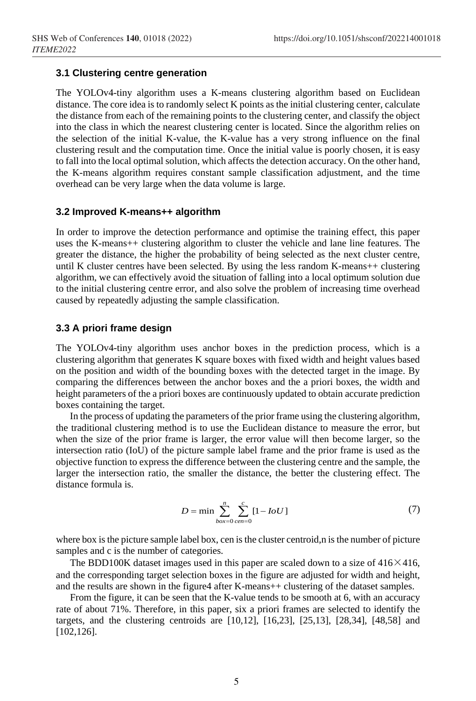#### **3.1 Clustering centre generation**

The YOLOv4-tiny algorithm uses a K-means clustering algorithm based on Euclidean distance. The core idea is to randomly select K points as the initial clustering center, calculate the distance from each of the remaining points to the clustering center, and classify the object into the class in which the nearest clustering center is located. Since the algorithm relies on the selection of the initial K-value, the K-value has a very strong influence on the final clustering result and the computation time. Once the initial value is poorly chosen, it is easy to fall into the local optimal solution, which affects the detection accuracy. On the other hand, the K-means algorithm requires constant sample classification adjustment, and the time overhead can be very large when the data volume is large.

#### **3.2 Improved K-means++ algorithm**

In order to improve the detection performance and optimise the training effect, this paper uses the K-means++ clustering algorithm to cluster the vehicle and lane line features. The greater the distance, the higher the probability of being selected as the next cluster centre, until K cluster centres have been selected. By using the less random K-means++ clustering algorithm, we can effectively avoid the situation of falling into a local optimum solution due to the initial clustering centre error, and also solve the problem of increasing time overhead caused by repeatedly adjusting the sample classification.

#### **3.3 A priori frame design**

The YOLOv4-tiny algorithm uses anchor boxes in the prediction process, which is a clustering algorithm that generates K square boxes with fixed width and height values based on the position and width of the bounding boxes with the detected target in the image. By comparing the differences between the anchor boxes and the a priori boxes, the width and height parameters of the a priori boxes are continuously updated to obtain accurate prediction boxes containing the target.

In the process of updating the parameters of the prior frame using the clustering algorithm, the traditional clustering method is to use the Euclidean distance to measure the error, but when the size of the prior frame is larger, the error value will then become larger, so the intersection ratio (IoU) of the picture sample label frame and the prior frame is used as the objective function to express the difference between the clustering centre and the sample, the larger the intersection ratio, the smaller the distance, the better the clustering effect. The distance formula is.

$$
D = \min \sum_{box=0}^{n} \sum_{cen=0}^{c} [1 - IoU]
$$
 (7)

where box is the picture sample label box, cen is the cluster centroid, n is the number of picture samples and c is the number of categories.

The BDD100K dataset images used in this paper are scaled down to a size of  $416 \times 416$ , and the corresponding target selection boxes in the figure are adjusted for width and height, and the results are shown in the figure4 after K-means++ clustering of the dataset samples.

From the figure, it can be seen that the K-value tends to be smooth at 6, with an accuracy rate of about 71%. Therefore, in this paper, six a priori frames are selected to identify the targets, and the clustering centroids are [10,12], [16,23], [25,13], [28,34], [48,58] and [102,126].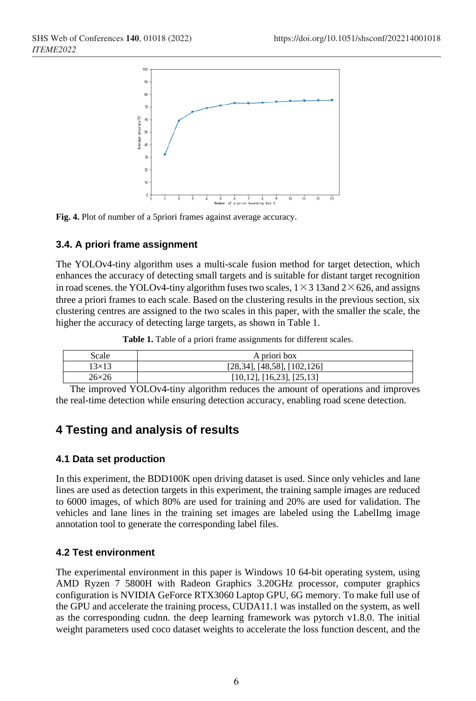

**Fig. 4.** Plot of number of a 5priori frames against average accuracy.

### **3.4. A priori frame assignment**

The YOLOv4-tiny algorithm uses a multi-scale fusion method for target detection, which enhances the accuracy of detecting small targets and is suitable for distant target recognition in road scenes. the YOLOv4-tiny algorithm fuses two scales,  $1 \times 3$  13 and  $2 \times 626$ , and assigns three a priori frames to each scale. Based on the clustering results in the previous section, six clustering centres are assigned to the two scales in this paper, with the smaller the scale, the higher the accuracy of detecting large targets, as shown in Table 1.

Table 1. Table of a priori frame assignments for different scales.

| Scale        | A priori box                         |  |  |
|--------------|--------------------------------------|--|--|
| $13\times13$ | $[28,34]$ , [48,58], [102,126]       |  |  |
| $26\times26$ | $[10, 12]$ , $[16, 23]$ , $[25, 13]$ |  |  |

The improved YOLOv4-tiny algorithm reduces the amount of operations and improves the real-time detection while ensuring detection accuracy, enabling road scene detection.

# **4 Testing and analysis of results**

### **4.1 Data set production**

In this experiment, the BDD100K open driving dataset is used. Since only vehicles and lane lines are used as detection targets in this experiment, the training sample images are reduced to 6000 images, of which 80% are used for training and 20% are used for validation. The vehicles and lane lines in the training set images are labeled using the LabelImg image annotation tool to generate the corresponding label files.

### **4.2 Test environment**

The experimental environment in this paper is Windows 10 64-bit operating system, using AMD Ryzen 7 5800H with Radeon Graphics 3.20GHz processor, computer graphics configuration is NVIDIA GeForce RTX3060 Laptop GPU, 6G memory. To make full use of the GPU and accelerate the training process, CUDA11.1 was installed on the system, as well as the corresponding cudnn. the deep learning framework was pytorch v1.8.0. The initial weight parameters used coco dataset weights to accelerate the loss function descent, and the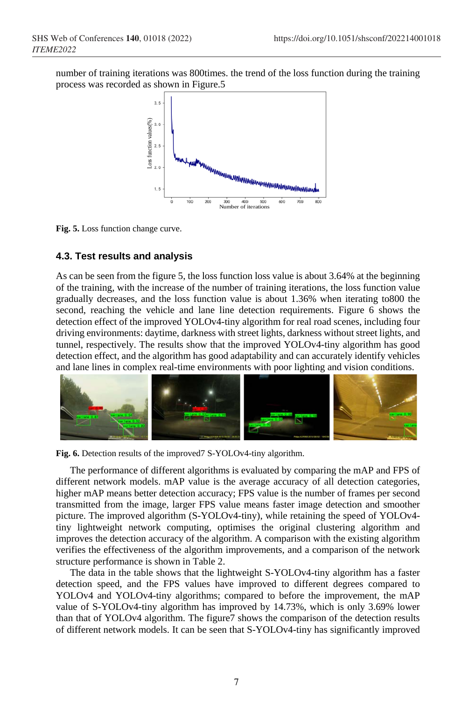number of training iterations was 800times. the trend of the loss function during the training process was recorded as shown in Figure.5



**Fig. 5.** Loss function change curve.

### **4.3. Test results and analysis**

As can be seen from the figure 5, the loss function loss value is about 3.64% at the beginning of the training, with the increase of the number of training iterations, the loss function value gradually decreases, and the loss function value is about 1.36% when iterating to800 the second, reaching the vehicle and lane line detection requirements. Figure 6 shows the detection effect of the improved YOLOv4-tiny algorithm for real road scenes, including four driving environments: daytime, darkness with street lights, darkness without street lights, and tunnel, respectively. The results show that the improved YOLOv4-tiny algorithm has good detection effect, and the algorithm has good adaptability and can accurately identify vehicles and lane lines in complex real-time environments with poor lighting and vision conditions.



**Fig. 6.** Detection results of the improved7 S-YOLOv4-tiny algorithm.

The performance of different algorithms is evaluated by comparing the mAP and FPS of different network models. mAP value is the average accuracy of all detection categories, higher mAP means better detection accuracy; FPS value is the number of frames per second transmitted from the image, larger FPS value means faster image detection and smoother picture. The improved algorithm (S-YOLOv4-tiny), while retaining the speed of YOLOv4 tiny lightweight network computing, optimises the original clustering algorithm and improves the detection accuracy of the algorithm. A comparison with the existing algorithm verifies the effectiveness of the algorithm improvements, and a comparison of the network structure performance is shown in Table 2.

The data in the table shows that the lightweight S-YOLOv4-tiny algorithm has a faster detection speed, and the FPS values have improved to different degrees compared to YOLOv4 and YOLOv4-tiny algorithms; compared to before the improvement, the mAP value of S-YOLOv4-tiny algorithm has improved by 14.73%, which is only 3.69% lower than that of YOLOv4 algorithm. The figure7 shows the comparison of the detection results of different network models. It can be seen that S-YOLOv4-tiny has significantly improved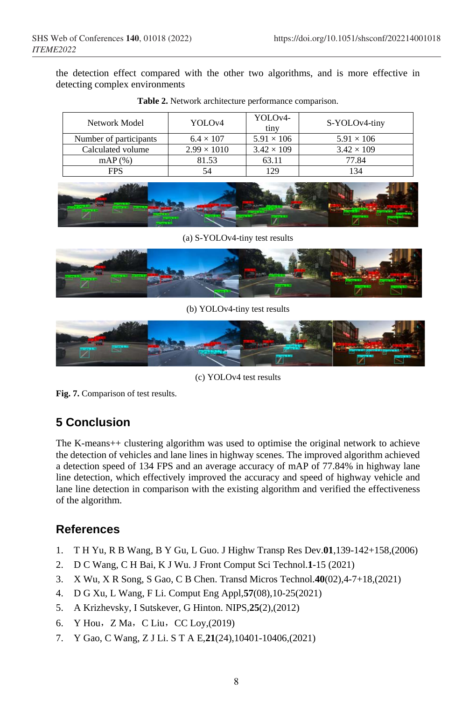the detection effect compared with the other two algorithms, and is more effective in detecting complex environments

| Network Model          | YOLO <sub>v4</sub> | YOLO <sub>v</sub> 4-<br>tiny | S-YOLOv4-tiny     |
|------------------------|--------------------|------------------------------|-------------------|
| Number of participants | $6.4 \times 107$   | $5.91 \times 106$            | $5.91 \times 106$ |
| Calculated volume      | $2.99 \times 1010$ | $3.42 \times 109$            | $3.42 \times 109$ |
| $mAP(\%)$              | 81.53              | 63.11                        | 77.84             |
| <b>FPS</b>             | 54                 | 129                          | 134               |

**Table 2.** Network architecture performance comparison.



(a) S-YOLOv4-tiny test results



(b) YOLOv4-tiny test results



(c) YOLOv4 test results

**Fig. 7.** Comparison of test results.

# **5 Conclusion**

The K-means++ clustering algorithm was used to optimise the original network to achieve the detection of vehicles and lane lines in highway scenes. The improved algorithm achieved a detection speed of 134 FPS and an average accuracy of mAP of 77.84% in highway lane line detection, which effectively improved the accuracy and speed of highway vehicle and lane line detection in comparison with the existing algorithm and verified the effectiveness of the algorithm.

# **References**

- 1. T H Yu, R B Wang, B Y Gu, L Guo. J Highw Transp Res Dev.**01**,139-142+158,(2006)
- 2. D C Wang, C H Bai, K J Wu. J Front Comput Sci Technol.**1**-15 (2021)
- 3. X Wu, X R Song, S Gao, C B Chen. Transd Micros Technol.**40**(02),4-7+18,(2021)
- 4. D G Xu, L Wang, F Li. Comput Eng Appl,**57**(08),10-25(2021)
- 5. A Krizhevsky, I Sutskever, G Hinton. NIPS,**25**(2),(2012)
- 6. [Y Hou](https://xueshu.baidu.com/s?wd=author:(Y%20Hou)%20&tn=SE_baiduxueshu_c1gjeupa&ie=utf-8&sc_f_para=sc_hilight=person), [Z Ma](https://xueshu.baidu.com/s?wd=author:(Z%20Ma)%20&tn=SE_baiduxueshu_c1gjeupa&ie=utf-8&sc_f_para=sc_hilight=person), [C Liu](https://xueshu.baidu.com/s?wd=author:(C%20Liu)%20&tn=SE_baiduxueshu_c1gjeupa&ie=utf-8&sc_f_para=sc_hilight=person), [CC Loy,](https://xueshu.baidu.com/s?wd=author:(CC%20Loy)%20&tn=SE_baiduxueshu_c1gjeupa&ie=utf-8&sc_f_para=sc_hilight=person)(2019)
- 7. Y Gao, C Wang, Z J Li. S T A E,**21**(24),10401-10406,(2021)